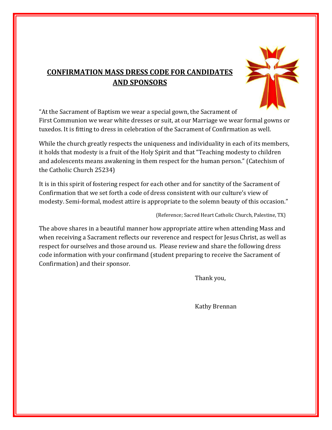## **CONFIRMATION MASS DRESS CODE FOR CANDIDATES AND SPONSORS**



"At the Sacrament of Baptism we wear a special gown, the Sacrament of First Communion we wear white dresses or suit, at our Marriage we wear formal gowns or tuxedos. It is fitting to dress in celebration of the Sacrament of Confirmation as well.

While the church greatly respects the uniqueness and individuality in each of its members, it holds that modesty is a fruit of the Holy Spirit and that "Teaching modesty to children and adolescents means awakening in them respect for the human person." (Catechism of the Catholic Church 25234)

It is in this spirit of fostering respect for each other and for sanctity of the Sacrament of Confirmation that we set forth a code of dress consistent with our culture's view of modesty. Semi-formal, modest attire is appropriate to the solemn beauty of this occasion."

(Reference; Sacred Heart Catholic Church, Palestine, TX)

The above shares in a beautiful manner how appropriate attire when attending Mass and when receiving a Sacrament reflects our reverence and respect for Jesus Christ, as well as respect for ourselves and those around us. Please review and share the following dress code information with your confirmand (student preparing to receive the Sacrament of Confirmation) and their sponsor.

Thank you,

Kathy Brennan